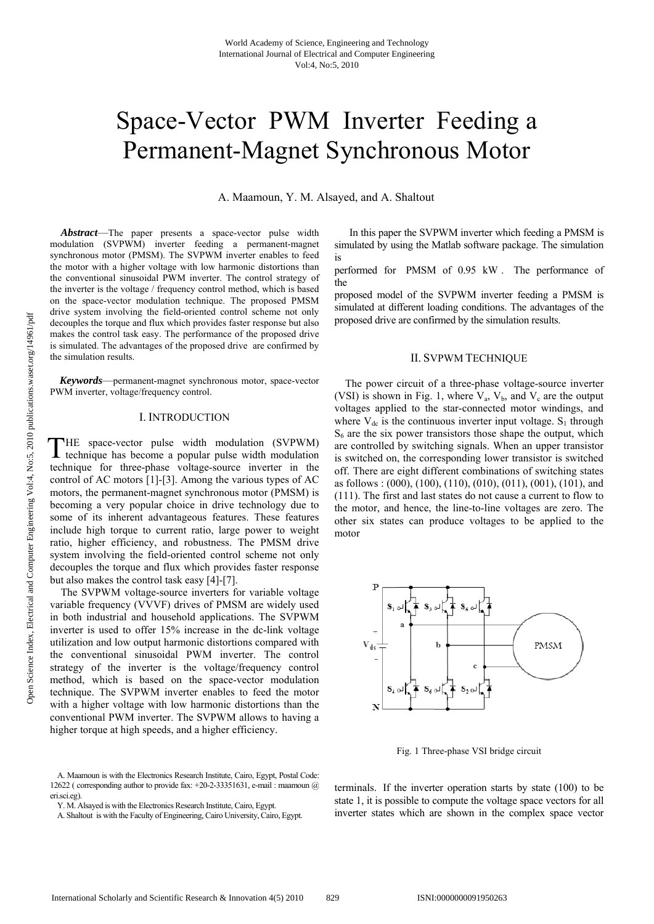# Space-Vector PWM Inverter Feeding a Permanent-Magnet Synchronous Motor

A. Maamoun, Y. M. Alsayed, and A. Shaltout

 *Abstract*—The paper presents a space-vector pulse width modulation (SVPWM) inverter feeding a permanent-magnet synchronous motor (PMSM). The SVPWM inverter enables to feed the motor with a higher voltage with low harmonic distortions than the conventional sinusoidal PWM inverter. The control strategy of the inverter is the voltage / frequency control method, which is based on the space-vector modulation technique. The proposed PMSM drive system involving the field-oriented control scheme not only decouples the torque and flux which provides faster response but also makes the control task easy. The performance of the proposed drive is simulated. The advantages of the proposed drive are confirmed by the simulation results.

 *Keywords*—permanent-magnet synchronous motor, space-vector PWM inverter, voltage/frequency control.

## I. INTRODUCTION

HE space-vector pulse width modulation (SVPWM) THE space-vector pulse width modulation (SVPWM) technique has become a popular pulse width modulation technique for three-phase voltage-source inverter in the control of AC motors [1]-[3]. Among the various types of AC motors, the permanent-magnet synchronous motor (PMSM) is becoming a very popular choice in drive technology due to some of its inherent advantageous features. These features include high torque to current ratio, large power to weight ratio, higher efficiency, and robustness. The PMSM drive system involving the field-oriented control scheme not only decouples the torque and flux which provides faster response but also makes the control task easy [4]-[7].

 The SVPWM voltage-source inverters for variable voltage variable frequency (VVVF) drives of PMSM are widely used in both industrial and household applications. The SVPWM inverter is used to offer 15% increase in the dc-link voltage utilization and low output harmonic distortions compared with the conventional sinusoidal PWM inverter. The control strategy of the inverter is the voltage/frequency control method, which is based on the space-vector modulation technique. The SVPWM inverter enables to feed the motor with a higher voltage with low harmonic distortions than the conventional PWM inverter. The SVPWM allows to having a higher torque at high speeds, and a higher efficiency.

 A. Maamoun is with the Electronics Research Institute, Cairo, Egypt, Postal Code: 12622 ( corresponding author to provide fax:  $+20-2-33351631$ , e-mail: maamoun  $@$ eri.sci.eg).

 In this paper the SVPWM inverter which feeding a PMSM is simulated by using the Matlab software package. The simulation is

performed for PMSM of 0.95 kW . The performance of the

proposed model of the SVPWM inverter feeding a PMSM is simulated at different loading conditions. The advantages of the proposed drive are confirmed by the simulation results.

## II. SVPWM TECHNIQUE

 The power circuit of a three-phase voltage-source inverter (VSI) is shown in Fig. 1, where  $V_a$ ,  $V_b$ , and  $V_c$  are the output voltages applied to the star-connected motor windings, and where  $V_{dc}$  is the continuous inverter input voltage.  $S_1$  through  $S<sub>6</sub>$  are the six power transistors those shape the output, which are controlled by switching signals. When an upper transistor is switched on, the corresponding lower transistor is switched off. There are eight different combinations of switching states as follows : (000), (100), (110), (010), (011), (001), (101), and (111). The first and last states do not cause a current to flow to the motor, and hence, the line-to-line voltages are zero. The other six states can produce voltages to be applied to the motor



Fig. 1 Three-phase VSI bridge circuit

terminals. If the inverter operation starts by state (100) to be state 1, it is possible to compute the voltage space vectors for all inverter states which are shown in the complex space vector

Y. M. Alsayed is with the Electronics Research Institute, Cairo, Egypt.

A. Shaltout is with the Faculty of Engineering, Cairo University, Cairo, Egypt.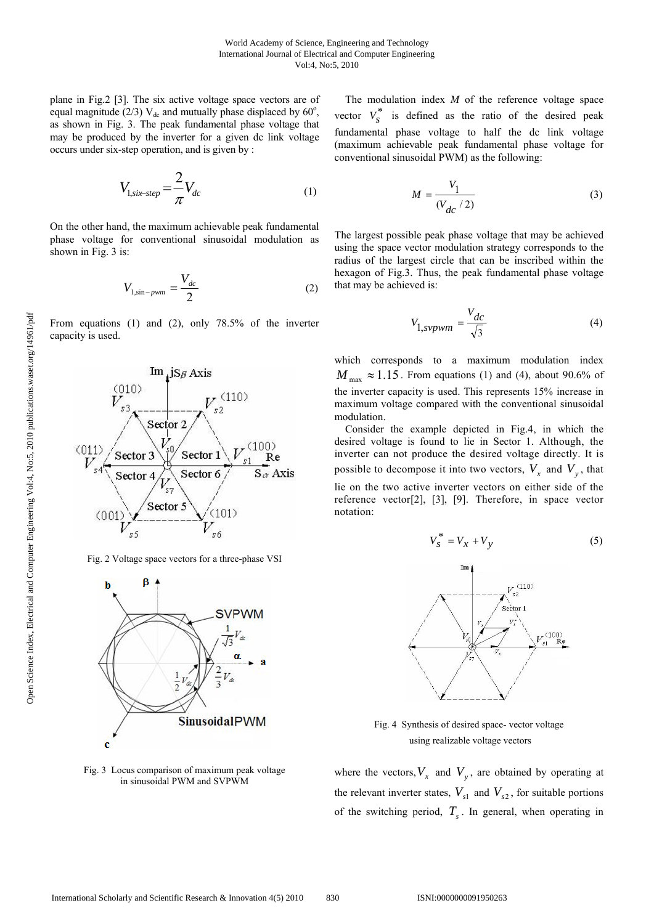plane in Fig.2 [3]. The six active voltage space vectors are of equal magnitude (2/3)  $V_{dc}$  and mutually phase displaced by 60 $^{\circ}$ , as shown in Fig. 3. The peak fundamental phase voltage that may be produced by the inverter for a given dc link voltage occurs under six-step operation, and is given by :

$$
V_{1,\text{six-step}} = \frac{2}{\pi} V_{dc} \tag{1}
$$

On the other hand, the maximum achievable peak fundamental phase voltage for conventional sinusoidal modulation as shown in Fig. 3 is:

$$
V_{1,\sin-pwm} = \frac{V_{dc}}{2} \tag{2}
$$

From equations (1) and (2), only 78.5% of the inverter capacity is used.



Fig. 2 Voltage space vectors for a three-phase VSI



Fig. 3 Locus comparison of maximum peak voltage in sinusoidal PWM and SVPWM

 The modulation index *M* of the reference voltage space vector  $V_0^*$  is defined as the ratio of the desired peak fundamental phase voltage to half the dc link voltage (maximum achievable peak fundamental phase voltage for conventional sinusoidal PWM) as the following:

$$
M = \frac{V_1}{(V_{dc}/2)}\tag{3}
$$

The largest possible peak phase voltage that may be achieved using the space vector modulation strategy corresponds to the radius of the largest circle that can be inscribed within the hexagon of Fig.3. Thus, the peak fundamental phase voltage that may be achieved is:

$$
V_{1, svpwm} = \frac{V_{dc}}{\sqrt{3}}\tag{4}
$$

which corresponds to a maximum modulation index  $M_{\text{max}} \approx 1.15$ . From equations (1) and (4), about 90.6% of the inverter capacity is used. This represents 15% increase in maximum voltage compared with the conventional sinusoidal modulation.

 Consider the example depicted in Fig.4, in which the desired voltage is found to lie in Sector 1. Although, the inverter can not produce the desired voltage directly. It is possible to decompose it into two vectors,  $V_x$  and  $V_y$ , that lie on the two active inverter vectors on either side of the reference vector[2], [3], [9]. Therefore, in space vector notation:

$$
V_s^* = V_x + V_y \tag{5}
$$



Fig. 4 Synthesis of desired space- vector voltage using realizable voltage vectors

where the vectors,  $V_x$  and  $V_y$ , are obtained by operating at the relevant inverter states,  $V_{s1}$  and  $V_{s2}$ , for suitable portions of the switching period,  $T<sub>s</sub>$ . In general, when operating in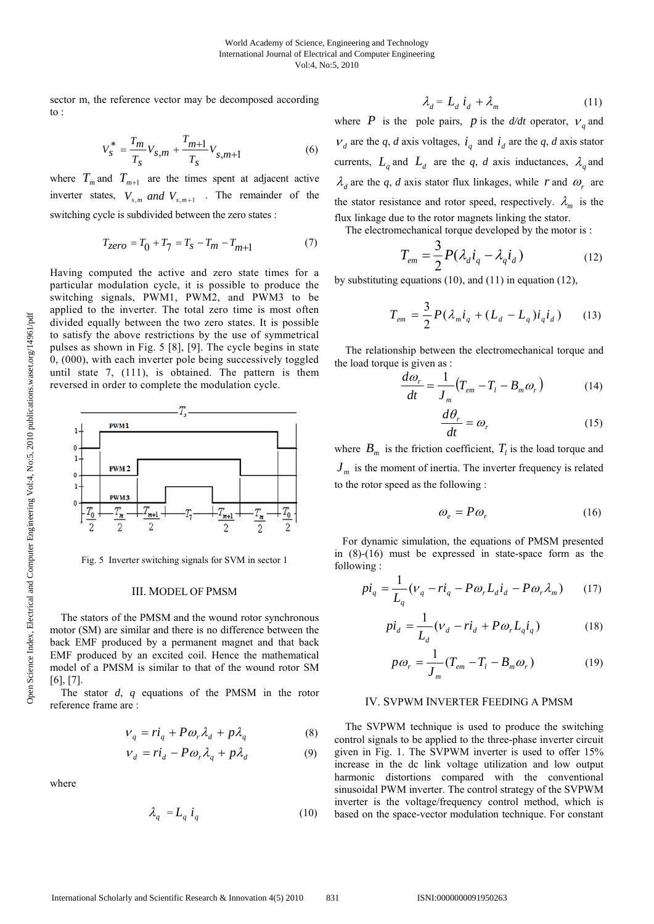sector m, the reference vector may be decomposed according to :

$$
V_s^* = \frac{T_m}{T_s} V_{s,m} + \frac{T_{m+1}}{T_s} V_{s,m+1}
$$
 (6)

where  $T_m$  and  $T_{m+1}$  are the times spent at adjacent active inverter states,  $V_{s,m}$  *and*  $V_{s,m+1}$  . The remainder of the switching cycle is subdivided between the zero states :

$$
T_{zero} = T_0 + T_7 = T_s - T_m - T_{m+1}
$$
 (7)

Having computed the active and zero state times for a particular modulation cycle, it is possible to produce the switching signals, PWM1, PWM2, and PWM3 to be applied to the inverter. The total zero time is most often divided equally between the two zero states. It is possible to satisfy the above restrictions by the use of symmetrical pulses as shown in Fig. 5 [8], [9]. The cycle begins in state 0, (000), with each inverter pole being successively toggled until state 7, (111), is obtained. The pattern is them reversed in order to complete the modulation cycle.



Fig. 5 Inverter switching signals for SVM in sector 1

#### III. MODEL OF PMSM

 The stators of the PMSM and the wound rotor synchronous motor (SM) are similar and there is no difference between the back EMF produced by a permanent magnet and that back EMF produced by an excited coil. Hence the mathematical model of a PMSM is similar to that of the wound rotor SM [6], [7].

 The stator *d*, *q* equations of the PMSM in the rotor reference frame are :

$$
V_q = r\dot{i}_q + P\omega_r \lambda_d + p\lambda_q \tag{8}
$$

$$
V_d = r\dot{i}_d - P\omega_r \lambda_q + p\lambda_d \tag{9}
$$

where

$$
\lambda_q = L_q \, i_q \tag{10}
$$

$$
\lambda_d = L_d \, i_d + \lambda_m \tag{11}
$$

where *P* is the pole pairs, *p* is the  $d/dt$  operator,  $V_a$  and  $V_d$  are the *q*, *d* axis voltages,  $i_q$  and  $i_d$  are the *q*, *d* axis stator currents,  $L_a$  and  $L_d$  are the *q*, *d* axis inductances,  $\lambda_a$  and  $\lambda_d$  are the *q*, *d* axis stator flux linkages, while *r* and  $\omega_r$  are the stator resistance and rotor speed, respectively.  $\lambda_m$  is the flux linkage due to the rotor magnets linking the stator.

The electromechanical torque developed by the motor is :

$$
T_{em} = \frac{3}{2} P(\lambda_d i_q - \lambda_q i_d)
$$
 (12)

by substituting equations (10), and (11) in equation (12),

$$
T_{em} = \frac{3}{2} P(\lambda_m i_q + (L_d - L_q) i_q i_d)
$$
 (13)

 The relationship between the electromechanical torque and the load torque is given as :

$$
\frac{d\omega_r}{dt} = \frac{1}{J_m} \left( T_{em} - T_l - B_m \omega_r \right) \tag{14}
$$

$$
\frac{d\theta_r}{dt} = \omega_r \tag{15}
$$

where  $B_m$  is the friction coefficient,  $T_l$  is the load torque and  $J<sub>m</sub>$  is the moment of inertia. The inverter frequency is related to the rotor speed as the following :

$$
\omega_e = P \omega_r \tag{16}
$$

 For dynamic simulation, the equations of PMSM presented in (8)-(16) must be expressed in state-space form as the following :

$$
pi_q = \frac{1}{L_q}(\nu_q - ri_q - P\omega_r L_d i_d - P\omega_r \lambda_m)
$$
 (17)

$$
pi_d = \frac{1}{L_d}(\nu_d - r\dot{i}_d + P\omega_r L_q \dot{i}_q)
$$
 (18)

$$
p\omega_r = \frac{1}{J_m}(T_{em} - T_l - B_m\omega_r)
$$
 (19)

## IV. SVPWM INVERTER FEEDING A PMSM

 The SVPWM technique is used to produce the switching control signals to be applied to the three-phase inverter circuit given in Fig. 1. The SVPWM inverter is used to offer 15% increase in the dc link voltage utilization and low output harmonic distortions compared with the conventional sinusoidal PWM inverter. The control strategy of the SVPWM inverter is the voltage/frequency control method, which is based on the space-vector modulation technique. For constant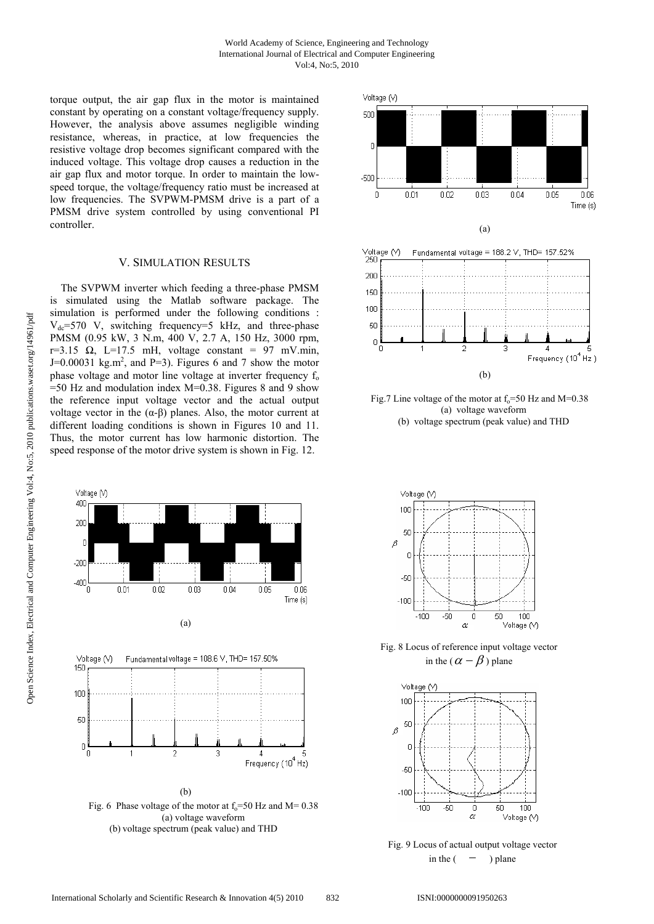### World Academy of Science, Engineering and Technology International Journal of Electrical and Computer Engineering Vol:4, No:5, 2010

torque output, the air gap flux in the motor is maintained constant by operating on a constant voltage/frequency supply. However, the analysis above assumes negligible winding resistance, whereas, in practice, at low frequencies the resistive voltage drop becomes significant compared with the induced voltage. This voltage drop causes a reduction in the air gap flux and motor torque. In order to maintain the lowspeed torque, the voltage/frequency ratio must be increased at low frequencies. The SVPWM-PMSM drive is a part of a PMSM drive system controlled by using conventional PI controller.

## V. SIMULATION RESULTS

 The SVPWM inverter which feeding a three-phase PMSM is simulated using the Matlab software package. The simulation is performed under the following conditions :  $V_{dc}$ =570 V, switching frequency=5 kHz, and three-phase PMSM (0.95 kW, 3 N.m, 400 V, 2.7 A, 150 Hz, 3000 rpm, r=3.15  $\Omega$ , L=17.5 mH, voltage constant = 97 mV.min,  $J=0.00031$  kg.m<sup>2</sup>, and P=3). Figures 6 and 7 show the motor phase voltage and motor line voltage at inverter frequency  $f_0$ =50 Hz and modulation index M=0.38. Figures 8 and 9 show the reference input voltage vector and the actual output voltage vector in the  $(\alpha-\beta)$  planes. Also, the motor current at different loading conditions is shown in Figures 10 and 11. Thus, the motor current has low harmonic distortion. The speed response of the motor drive system is shown in Fig. 12.



(b) voltage spectrum (peak value) and THD



Fig.7 Line voltage of the motor at  $f_0$ =50 Hz and M=0.38 (a) voltage waveform (b) voltage spectrum (peak value) and THD

(b)

Frequency (10<sup>4</sup> Hz)



Fig. 8 Locus of reference input voltage vector in the ( $\alpha - \beta$ ) plane



Fig. 9 Locus of actual output voltage vector in the  $($  – ) plane